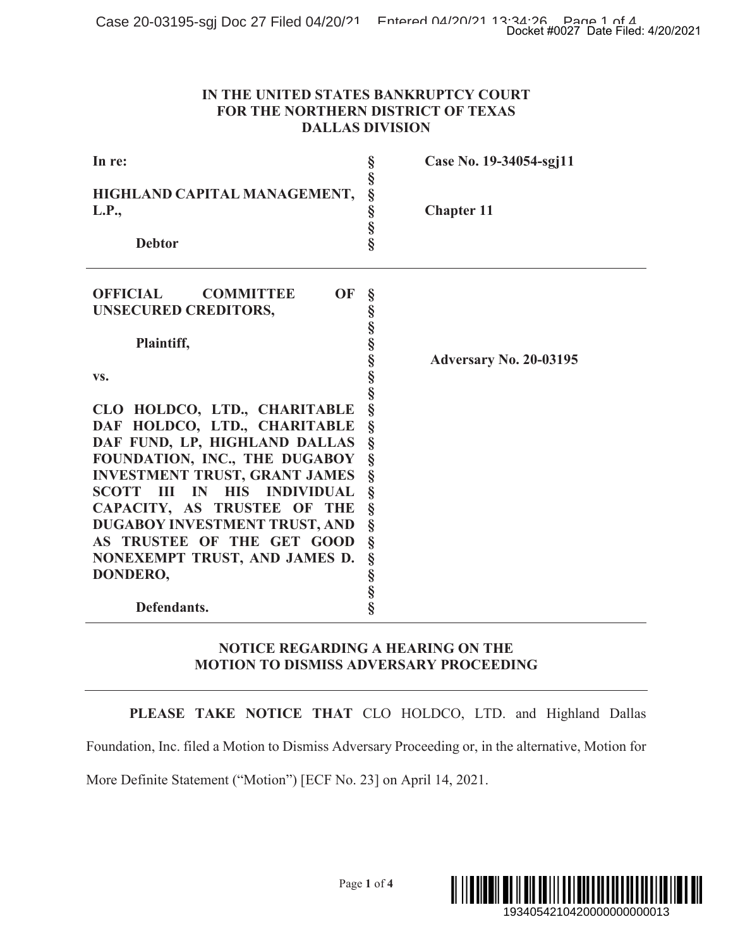### **IN THE UNITED STATES BANKRUPTCY COURT FOR THE NORTHERN DISTRICT OF TEXAS DALLAS DIVISION**

|                                                                                                                                                                                                                                                                                                                                                                           | Docket #0027 Date Filed: 4/20/2021                                                                    |
|---------------------------------------------------------------------------------------------------------------------------------------------------------------------------------------------------------------------------------------------------------------------------------------------------------------------------------------------------------------------------|-------------------------------------------------------------------------------------------------------|
|                                                                                                                                                                                                                                                                                                                                                                           | IN THE UNITED STATES BANKRUPTCY COURT<br>FOR THE NORTHERN DISTRICT OF TEXAS<br><b>DALLAS DIVISION</b> |
| In re:                                                                                                                                                                                                                                                                                                                                                                    | Case No. 19-34054-sgj11                                                                               |
| HIGHLAND CAPITAL MANAGEMENT,<br>L.P.,<br><b>Debtor</b>                                                                                                                                                                                                                                                                                                                    | 50 00 00 00 00 00<br><b>Chapter 11</b>                                                                |
| <b>OFFICIAL</b><br>OF<br><b>COMMITTEE</b><br><b>UNSECURED CREDITORS,</b>                                                                                                                                                                                                                                                                                                  | en en en en en en en en en                                                                            |
| Plaintiff,<br>VS.                                                                                                                                                                                                                                                                                                                                                         | <b>Adversary No. 20-03195</b>                                                                         |
| CLO HOLDCO, LTD., CHARITABLE<br>DAF HOLDCO, LTD., CHARITABLE<br>DAF FUND, LP, HIGHLAND DALLAS<br>FOUNDATION, INC., THE DUGABOY<br><b>INVESTMENT TRUST, GRANT JAMES</b><br>SCOTT III IN<br><b>HIS INDIVIDUAL</b><br>CAPACITY, AS TRUSTEE OF THE<br>DUGABOY INVESTMENT TRUST, AND<br>AS TRUSTEE OF THE GET GOOD<br>NONEXEMPT TRUST, AND JAMES D.<br>DONDERO,<br>Defendants. | §<br>§<br>§<br>§<br>§<br>§<br>§<br>§<br>Ş<br>5880                                                     |
|                                                                                                                                                                                                                                                                                                                                                                           | <b>NOTICE REGARDING A HEARING ON THE</b><br><b>MOTION TO DISMISS ADVERSARY PROCEEDING</b>             |
|                                                                                                                                                                                                                                                                                                                                                                           | PLEASE TAKE NOTICE THAT CLO HOLDCO, LTD. and Highland Dallas                                          |
| More Definite Statement ("Motion") [ECF No. 23] on April 14, 2021.                                                                                                                                                                                                                                                                                                        | Foundation, Inc. filed a Motion to Dismiss Adversary Proceeding or, in the alternative, Motion for    |
|                                                                                                                                                                                                                                                                                                                                                                           | Page 1 of 4<br>1934054210420000000000013                                                              |

## **NOTICE REGARDING A HEARING ON THE MOTION TO DISMISS ADVERSARY PROCEEDING**

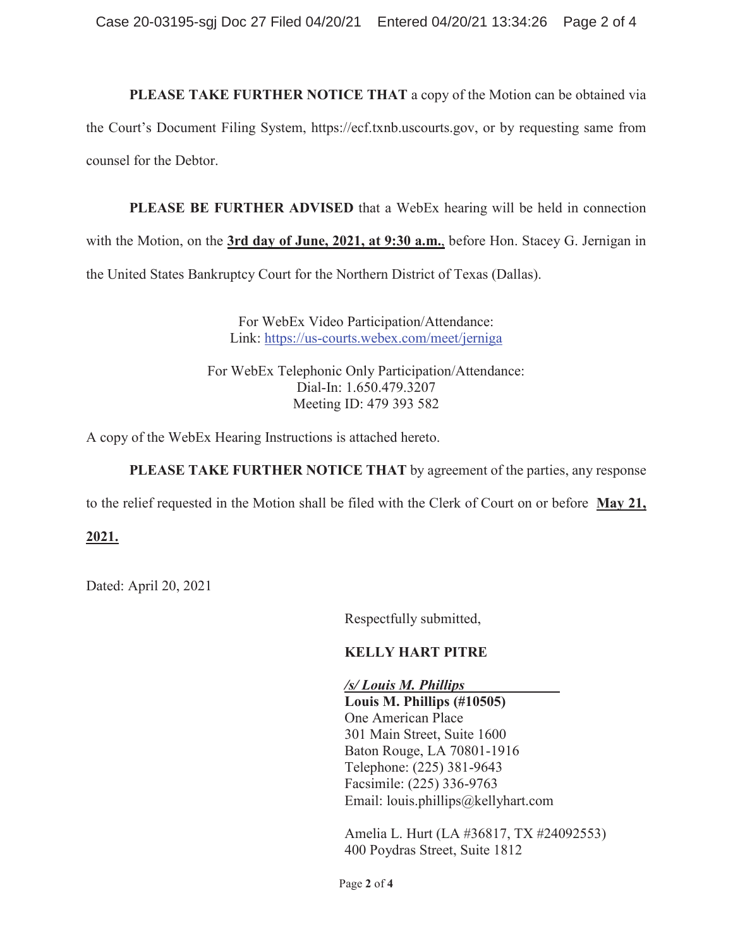**PLEASE TAKE FURTHER NOTICE THAT** a copy of the Motion can be obtained via the Court's Document Filing System, https://ecf.txnb.uscourts.gov, or by requesting same from counsel for the Debtor.

**PLEASE BE FURTHER ADVISED** that a WebEx hearing will be held in connection with the Motion, on the **3rd day of June, 2021, at 9:30 a.m.**, before Hon. Stacey G. Jernigan in the United States Bankruptcy Court for the Northern District of Texas (Dallas).

> For WebEx Video Participation/Attendance: Link: https://us-courts.webex.com/meet/jerniga

For WebEx Telephonic Only Participation/Attendance: Dial-In: 1.650.479.3207 Meeting ID: 479 393 582

A copy of the WebEx Hearing Instructions is attached hereto.

**PLEASE TAKE FURTHER NOTICE THAT** by agreement of the parties, any response

to the relief requested in the Motion shall be filed with the Clerk of Court on or before **May 21,** 

## **2021.**

Dated: April 20, 2021

Respectfully submitted,

## **KELLY HART PITRE**

*/s/ Louis M. Phillips* 

**Louis M. Phillips (#10505)**  One American Place 301 Main Street, Suite 1600 Baton Rouge, LA 70801-1916 Telephone: (225) 381-9643 Facsimile: (225) 336-9763 Email: louis.phillips@kellyhart.com

Amelia L. Hurt (LA #36817, TX #24092553) 400 Poydras Street, Suite 1812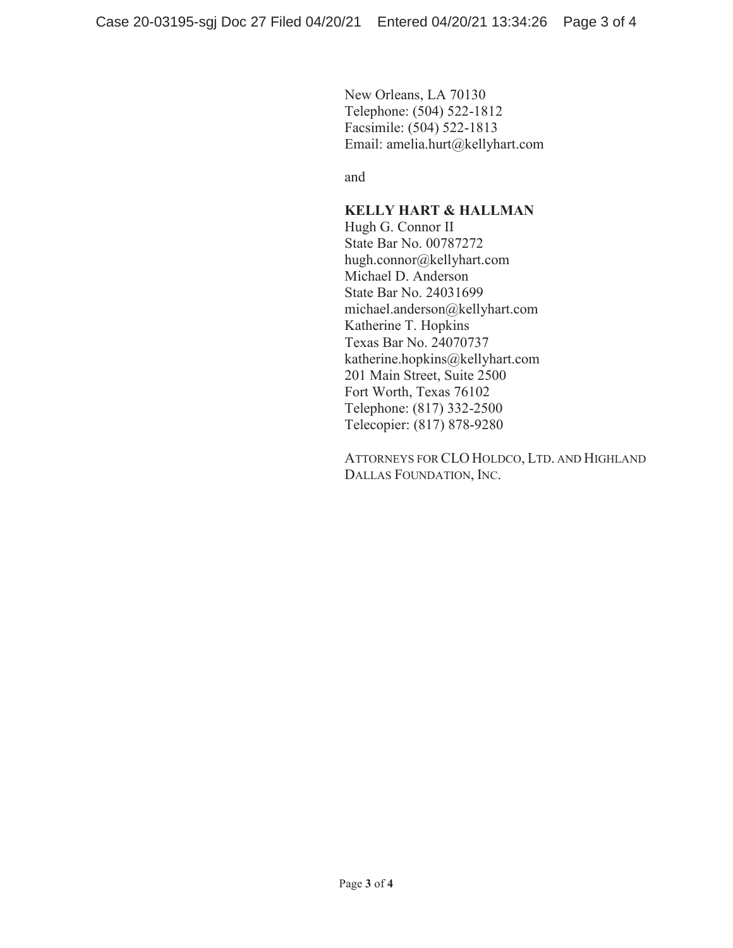New Orleans, LA 70130 Telephone: (504) 522-1812 Facsimile: (504) 522-1813 Email: amelia.hurt@kellyhart.com

and

## **KELLY HART & HALLMAN**

Hugh G. Connor II State Bar No. 00787272 hugh.connor@kellyhart.com Michael D. Anderson State Bar No. 24031699 michael.anderson@kellyhart.com Katherine T. Hopkins Texas Bar No. 24070737 katherine.hopkins@kellyhart.com 201 Main Street, Suite 2500 Fort Worth, Texas 76102 Telephone: (817) 332-2500 Telecopier: (817) 878-9280

ATTORNEYS FOR CLO HOLDCO, LTD. AND HIGHLAND DALLAS FOUNDATION, INC.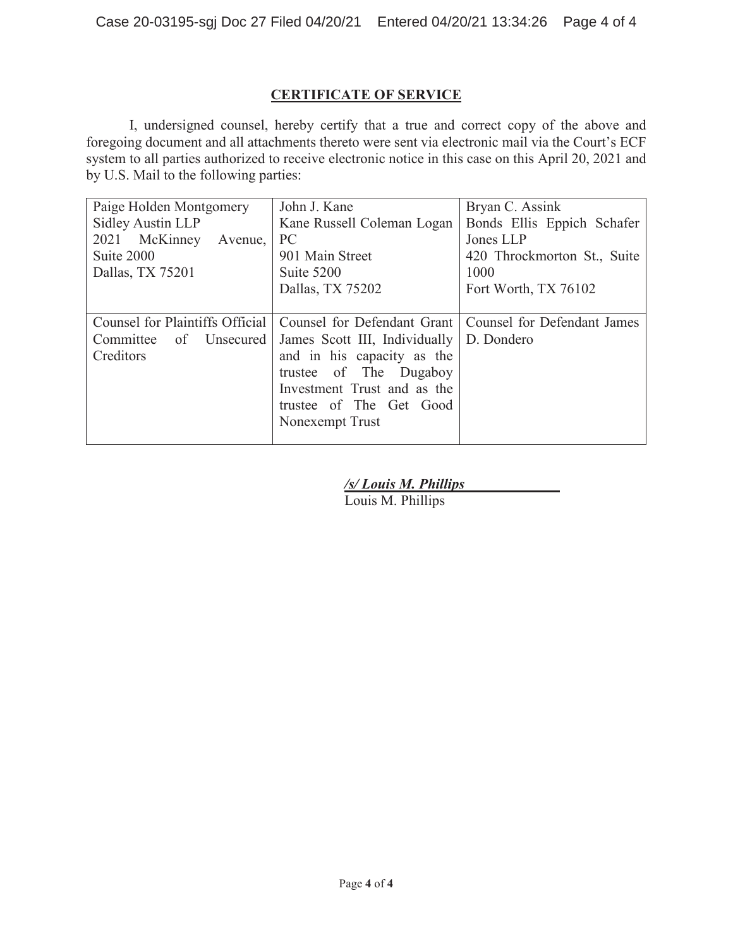# **CERTIFICATE OF SERVICE**

I, undersigned counsel, hereby certify that a true and correct copy of the above and foregoing document and all attachments thereto were sent via electronic mail via the Court's ECF system to all parties authorized to receive electronic notice in this case on this April 20, 2021 and by U.S. Mail to the following parties:

| Paige Holden Montgomery                                        | John J. Kane                  | Bryan C. Assink             |
|----------------------------------------------------------------|-------------------------------|-----------------------------|
| Sidley Austin LLP                                              | Kane Russell Coleman Logan    | Bonds Ellis Eppich Schafer  |
| 2021 McKinney<br>Avenue,                                       | <b>PC</b>                     | Jones LLP                   |
| Suite 2000                                                     | 901 Main Street               | 420 Throckmorton St., Suite |
| Dallas, TX 75201                                               | Suite 5200                    | 1000                        |
|                                                                | Dallas, TX 75202              | Fort Worth, TX 76102        |
|                                                                |                               |                             |
| Counsel for Plaintiffs Official<br>Counsel for Defendant Grant |                               | Counsel for Defendant James |
| of Unsecured<br>Committee                                      | James Scott III, Individually | D. Dondero                  |
| Creditors                                                      | and in his capacity as the    |                             |
|                                                                | trustee of The Dugaboy        |                             |
|                                                                | Investment Trust and as the   |                             |
|                                                                | trustee of The Get Good       |                             |
|                                                                | Nonexempt Trust               |                             |
|                                                                |                               |                             |

*/s/ Louis M. Phillips* 

Louis M. Phillips